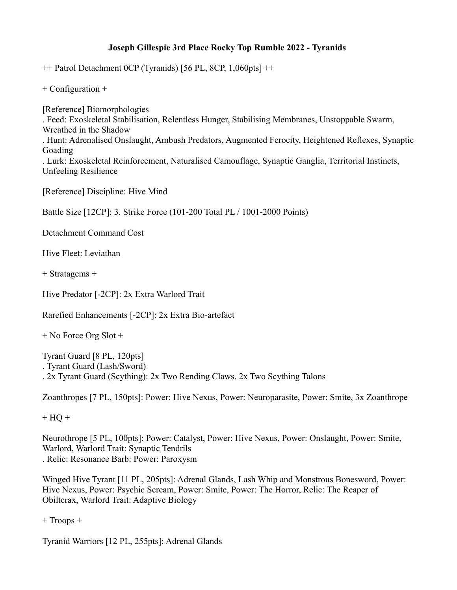## **Joseph Gillespie 3rd Place Rocky Top Rumble 2022 - Tyranids**

 $++$  Patrol Detachment 0CP (Tyranids) [56 PL, 8CP, 1,060pts]  $++$ 

+ Configuration +

[Reference] Biomorphologies . Feed: Exoskeletal Stabilisation, Relentless Hunger, Stabilising Membranes, Unstoppable Swarm, Wreathed in the Shadow . Hunt: Adrenalised Onslaught, Ambush Predators, Augmented Ferocity, Heightened Reflexes, Synaptic Goading . Lurk: Exoskeletal Reinforcement, Naturalised Camouflage, Synaptic Ganglia, Territorial Instincts, Unfeeling Resilience

[Reference] Discipline: Hive Mind

Battle Size [12CP]: 3. Strike Force (101-200 Total PL / 1001-2000 Points)

Detachment Command Cost

Hive Fleet: Leviathan

+ Stratagems +

Hive Predator [-2CP]: 2x Extra Warlord Trait

Rarefied Enhancements [-2CP]: 2x Extra Bio-artefact

+ No Force Org Slot +

Tyrant Guard [8 PL, 120pts] . Tyrant Guard (Lash/Sword) . 2x Tyrant Guard (Scything): 2x Two Rending Claws, 2x Two Scything Talons

Zoanthropes [7 PL, 150pts]: Power: Hive Nexus, Power: Neuroparasite, Power: Smite, 3x Zoanthrope

 $+ HO +$ 

Neurothrope [5 PL, 100pts]: Power: Catalyst, Power: Hive Nexus, Power: Onslaught, Power: Smite, Warlord, Warlord Trait: Synaptic Tendrils . Relic: Resonance Barb: Power: Paroxysm

Winged Hive Tyrant [11 PL, 205pts]: Adrenal Glands, Lash Whip and Monstrous Bonesword, Power: Hive Nexus, Power: Psychic Scream, Power: Smite, Power: The Horror, Relic: The Reaper of Obilterax, Warlord Trait: Adaptive Biology

+ Troops +

Tyranid Warriors [12 PL, 255pts]: Adrenal Glands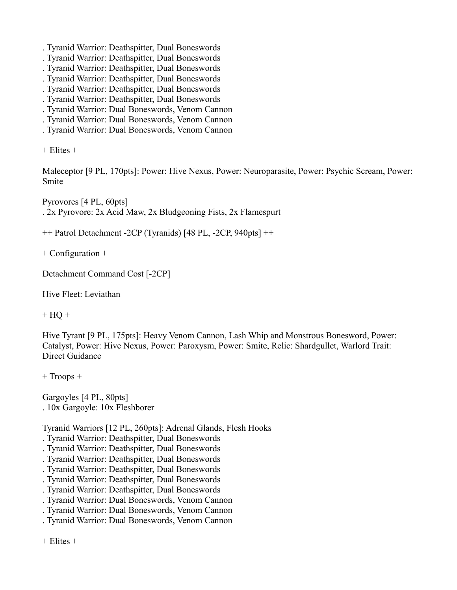- . Tyranid Warrior: Deathspitter, Dual Boneswords
- . Tyranid Warrior: Deathspitter, Dual Boneswords
- . Tyranid Warrior: Deathspitter, Dual Boneswords
- . Tyranid Warrior: Deathspitter, Dual Boneswords
- . Tyranid Warrior: Deathspitter, Dual Boneswords
- . Tyranid Warrior: Deathspitter, Dual Boneswords
- . Tyranid Warrior: Dual Boneswords, Venom Cannon
- . Tyranid Warrior: Dual Boneswords, Venom Cannon
- . Tyranid Warrior: Dual Boneswords, Venom Cannon

 $+$  Elites  $+$ 

Maleceptor [9 PL, 170pts]: Power: Hive Nexus, Power: Neuroparasite, Power: Psychic Scream, Power: Smite

Pyrovores [4 PL, 60pts] . 2x Pyrovore: 2x Acid Maw, 2x Bludgeoning Fists, 2x Flamespurt

++ Patrol Detachment -2CP (Tyranids) [48 PL, -2CP, 940pts] ++

+ Configuration +

Detachment Command Cost [-2CP]

Hive Fleet: Leviathan

 $+ HO +$ 

Hive Tyrant [9 PL, 175pts]: Heavy Venom Cannon, Lash Whip and Monstrous Bonesword, Power: Catalyst, Power: Hive Nexus, Power: Paroxysm, Power: Smite, Relic: Shardgullet, Warlord Trait: Direct Guidance

+ Troops +

Gargoyles [4 PL, 80pts] . 10x Gargoyle: 10x Fleshborer

Tyranid Warriors [12 PL, 260pts]: Adrenal Glands, Flesh Hooks

. Tyranid Warrior: Deathspitter, Dual Boneswords

- . Tyranid Warrior: Deathspitter, Dual Boneswords
- . Tyranid Warrior: Deathspitter, Dual Boneswords
- . Tyranid Warrior: Deathspitter, Dual Boneswords
- . Tyranid Warrior: Deathspitter, Dual Boneswords
- . Tyranid Warrior: Deathspitter, Dual Boneswords
- . Tyranid Warrior: Dual Boneswords, Venom Cannon
- . Tyranid Warrior: Dual Boneswords, Venom Cannon

. Tyranid Warrior: Dual Boneswords, Venom Cannon

+ Elites +